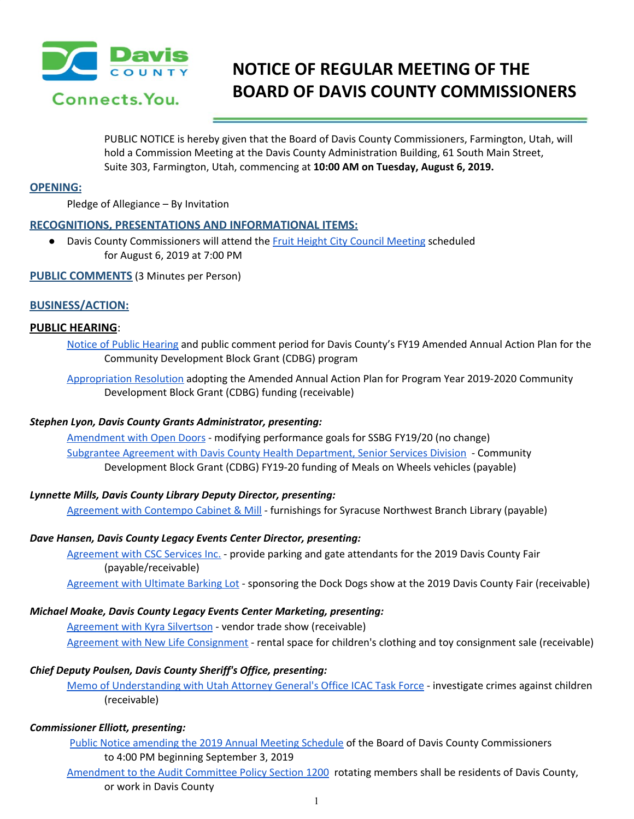

# **NOTICE OF REGULAR MEETING OF THE BOARD OF DAVIS COUNTY COMMISSIONERS**

PUBLIC NOTICE is hereby given that the Board of Davis County Commissioners, Farmington, Utah, will hold a Commission Meeting at the Davis County Administration Building, 61 South Main Street, Suite 303, Farmington, Utah, commencing at **10:00 AM on Tuesday, August 6, 2019.**

## **OPENING:**

Pledge of Allegiance – By Invitation

## **RECOGNITIONS, PRESENTATIONS AND INFORMATIONAL ITEMS:**

● Davis County Commissioners will attend the Fruit Height City Council [Meeting](https://drive.google.com/a/co.davis.ut.us/file/d/1_rKD_rr2vRQFBLv2geqtuW1HlN7go0JD/view?usp=drivesdk) scheduled for August 6, 2019 at 7:00 PM

**PUBLIC COMMENTS** (3 Minutes per Person)

## **BUSINESS/ACTION:**

## **PUBLIC HEARING**:

Notice of Public [Hearing](https://drive.google.com/a/co.davis.ut.us/file/d/1fydULsYLKOMwTx4kNqoHVdzmHb2Kf4qN/view?usp=drivesdk) and public comment period for Davis County's FY19 Amended Annual Action Plan for the Community Development Block Grant (CDBG) program

[Appropriation](https://drive.google.com/a/co.davis.ut.us/file/d/1fiDb-iddJSDaVnjfVdn6YCjBwRFDW9LI/view?usp=drivesdk) Resolution adopting the Amended Annual Action Plan for Program Year 2019-2020 Community Development Block Grant (CDBG) funding (receivable)

## *Stephen Lyon, Davis County Grants Administrator, presenting:*

[Amendment](https://drive.google.com/a/co.davis.ut.us/file/d/1KpFCpGv8JmgsJKdL6cfLemxJbVlrisPC/view?usp=drivesdk) with Open Doors - modifying performance goals for SSBG FY19/20 (no change) Subgrantee Agreement with Davis County Health [Department,](https://drive.google.com/a/co.davis.ut.us/file/d/159YbQANtiAzQcZqRdkxj2YXR53ExwdM5/view?usp=drivesdk) Senior Services Division - Community Development Block Grant (CDBG) FY19-20 funding of Meals on Wheels vehicles (payable)

## *Lynnette Mills, Davis County Library Deputy Director, presenting:*

[Agreement](https://drive.google.com/a/co.davis.ut.us/file/d/1E6HROEcAj_OkOfUvB5r_NvpHDbtbqr-D/view?usp=drivesdk) with Contempo Cabinet & Mill - furnishings for Syracuse Northwest Branch Library (payable)

## *Dave Hansen, Davis County Legacy Events Center Director, presenting:*

[Agreement](https://drive.google.com/a/co.davis.ut.us/file/d/13XOmrSpcrVmIT8IWMVEmkGi2kawpy5Tt/view?usp=drivesdk) with CSC Services Inc. - provide parking and gate [attendants](https://drive.google.com/a/co.davis.ut.us/file/d/13XOmrSpcrVmIT8IWMVEmkGi2kawpy5Tt/view?usp=drivesdk) for the 2019 Davis County Fair [\(payable/receivable\)](https://drive.google.com/a/co.davis.ut.us/file/d/13XOmrSpcrVmIT8IWMVEmkGi2kawpy5Tt/view?usp=drivesdk)

[Agreement](https://drive.google.com/a/co.davis.ut.us/file/d/1bBFQOp8Ax_Hq5_TkWVyY0qqR7ztkIeAV/view?usp=drivesdk) with Ultimate Barking Lot - sponsoring the Dock Dogs show at the 2019 Davis County Fair (receivable)

## *Michael Moake, Davis County Legacy Events Center Marketing, presenting:*

[Agreement](https://drive.google.com/a/co.davis.ut.us/file/d/1OTkBlnrGEmKrn1VMUzxifHRk3Udhs9XH/view?usp=drivesdk) with Kyra Silvertson - vendor trade show (receivable) Agreement with New Life [Consignment](https://drive.google.com/a/co.davis.ut.us/file/d/18xd1Hav8r9V_Pq7319jEut00OI5z270E/view?usp=drivesdk) - rental space for children's clothing and toy consignment sale (receivable)

## *Chief Deputy Poulsen, Davis County Sheriff's Office, presenting:*

Memo of [Understanding](https://drive.google.com/a/co.davis.ut.us/file/d/1QOnuWkmfR8MBKbxixN_vXBEjZdvew_YX/view?usp=drivesdk) with Utah Attorney General's Office ICAC Task Force - investigate crimes against childre[n](https://drive.google.com/a/co.davis.ut.us/file/d/1QOnuWkmfR8MBKbxixN_vXBEjZdvew_YX/view?usp=drivesdk) (receivable)

## *Commissioner Elliott, presenting:*

Public Notice [amending](https://drive.google.com/a/co.davis.ut.us/file/d/1FEINjUMPKvnw82ncbizSStGLkP67MLmv/view?usp=drivesdk) the 2019 Annual Meeting Schedule of the Board of Davis County Commissioners to 4:00 PM beginning September 3, 2019

[Amendment](https://drive.google.com/a/co.davis.ut.us/file/d/11xYVPqwbFZM5ZCe7zrtzhQKm5Bd1GgyL/view?usp=drivesdk) to the Audit Committee Policy Section 1200 rotating members shall be residents of Davis County, or work in Davis County